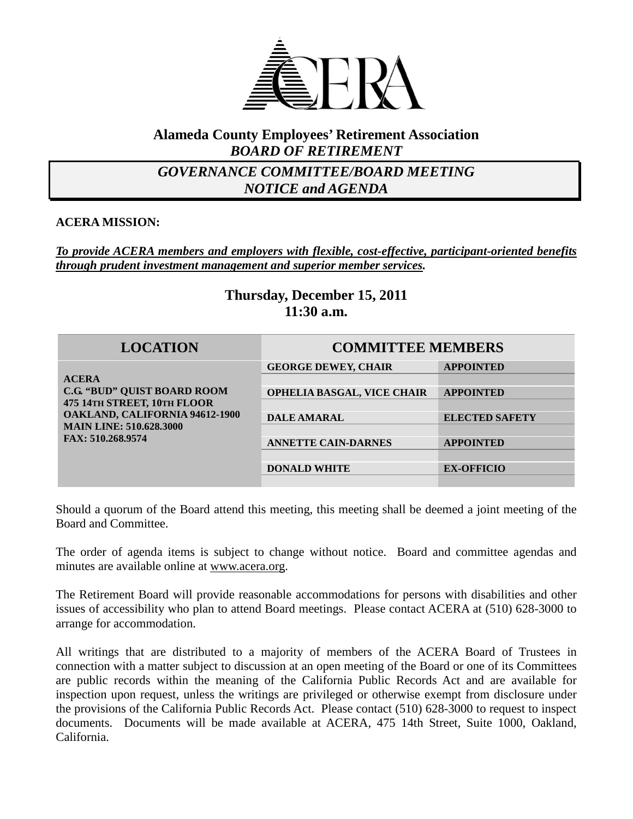

# **Alameda County Employees' Retirement Association** *BOARD OF RETIREMENT*

# *GOVERNANCE COMMITTEE/BOARD MEETING NOTICE and AGENDA*

# **ACERA MISSION:**

# *To provide ACERA members and employers with flexible, cost-effective, participant-oriented benefits through prudent investment management and superior member services.*

**Thursday, December 15, 2011 11:30 a.m.**

#### **LOCATION COMMITTEE MEMBERS ACERA C.G. "BUD" QUIST BOARD ROOM 475 14TH STREET, 10TH FLOOR OAKLAND, CALIFORNIA 94612-1900 MAIN LINE: 510.628.3000 FAX: 510.268.9574 GEORGE DEWEY, CHAIR APPOINTED OPHELIA BASGAL, VICE CHAIR APPOINTED DALE AMARAL ELECTED SAFETY ANNETTE CAIN-DARNES APPOINTED DONALD WHITE EX-OFFICIO**

Should a quorum of the Board attend this meeting, this meeting shall be deemed a joint meeting of the Board and Committee.

The order of agenda items is subject to change without notice. Board and committee agendas and minutes are available online at [www.acera.org.](http://www.acera.org/)

The Retirement Board will provide reasonable accommodations for persons with disabilities and other issues of accessibility who plan to attend Board meetings. Please contact ACERA at (510) 628-3000 to arrange for accommodation.

All writings that are distributed to a majority of members of the ACERA Board of Trustees in connection with a matter subject to discussion at an open meeting of the Board or one of its Committees are public records within the meaning of the California Public Records Act and are available for inspection upon request, unless the writings are privileged or otherwise exempt from disclosure under the provisions of the California Public Records Act. Please contact (510) 628-3000 to request to inspect documents. Documents will be made available at ACERA, 475 14th Street, Suite 1000, Oakland, California.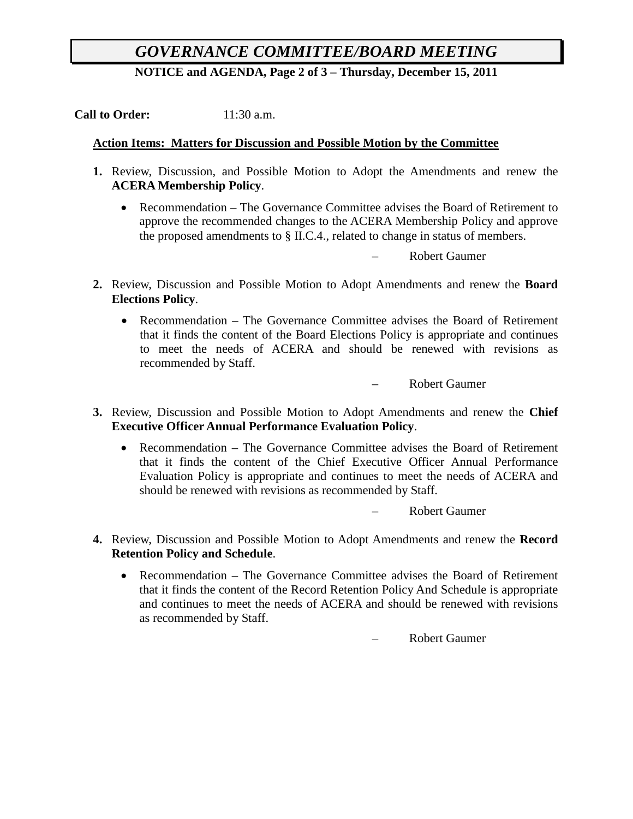# *GOVERNANCE COMMITTEE/BOARD MEETING*

**NOTICE and AGENDA, Page 2 of 3 – Thursday, December 15, 2011**

**Call to Order:** 11:30 a.m.

#### **Action Items: Matters for Discussion and Possible Motion by the Committee**

- **1.** Review, Discussion, and Possible Motion to Adopt the Amendments and renew the **ACERA Membership Policy**.
	- Recommendation The Governance Committee advises the Board of Retirement to approve the recommended changes to the ACERA Membership Policy and approve the proposed amendments to § II.C.4., related to change in status of members.

– Robert Gaumer

- **2.** Review, Discussion and Possible Motion to Adopt Amendments and renew the **Board Elections Policy**.
	- Recommendation The Governance Committee advises the Board of Retirement that it finds the content of the Board Elections Policy is appropriate and continues to meet the needs of ACERA and should be renewed with revisions as recommended by Staff.

– Robert Gaumer

- **3.** Review, Discussion and Possible Motion to Adopt Amendments and renew the **Chief Executive Officer Annual Performance Evaluation Policy**.
	- Recommendation The Governance Committee advises the Board of Retirement that it finds the content of the Chief Executive Officer Annual Performance Evaluation Policy is appropriate and continues to meet the needs of ACERA and should be renewed with revisions as recommended by Staff.

– Robert Gaumer

- **4.** Review, Discussion and Possible Motion to Adopt Amendments and renew the **Record Retention Policy and Schedule**.
	- Recommendation The Governance Committee advises the Board of Retirement that it finds the content of the Record Retention Policy And Schedule is appropriate and continues to meet the needs of ACERA and should be renewed with revisions as recommended by Staff.

– Robert Gaumer